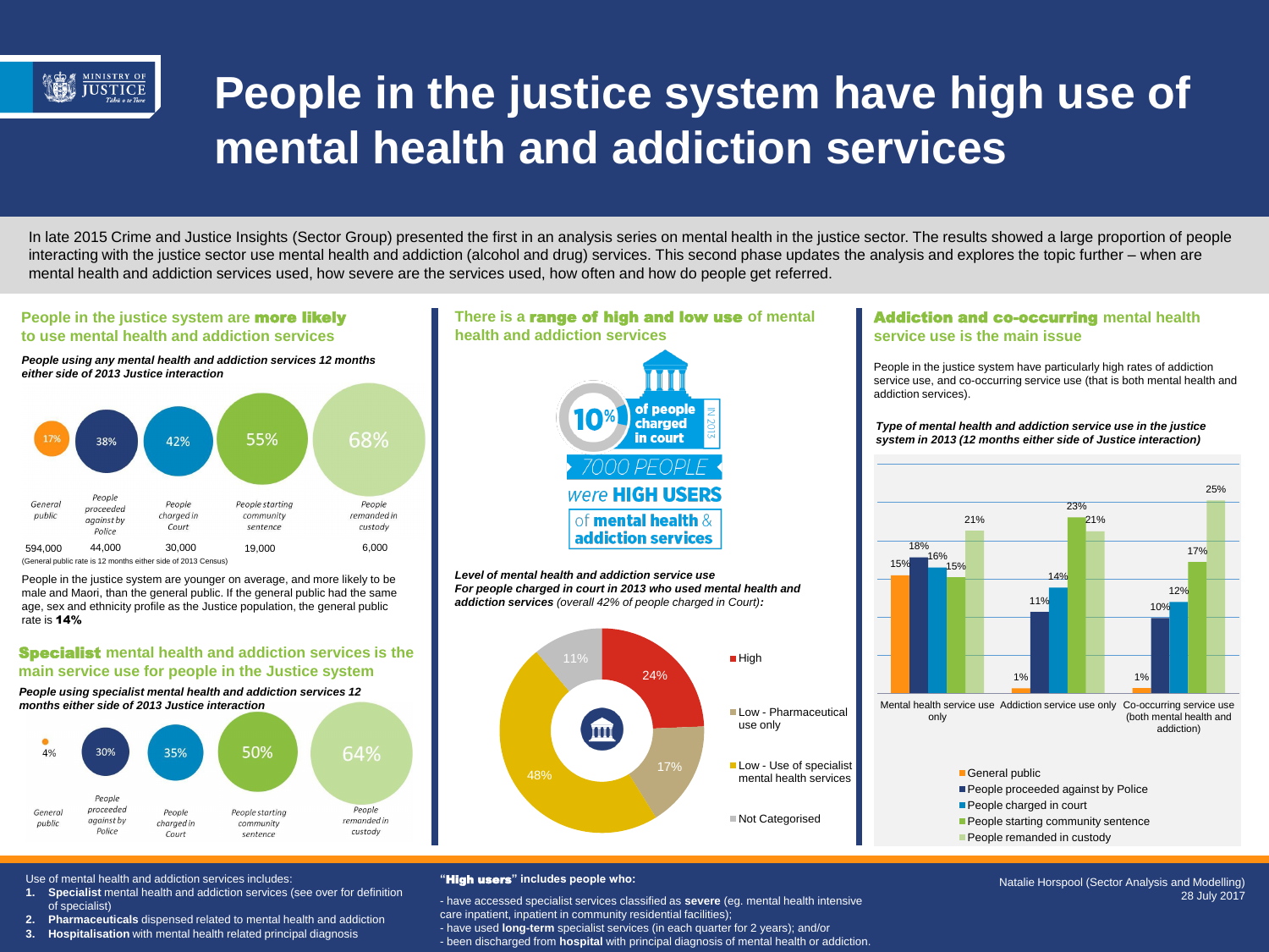

# **People in the justice system have high use of mental health and addiction services**

In late 2015 Crime and Justice Insights (Sector Group) presented the first in an analysis series on mental health in the justice sector. The results showed a large proportion of people interacting with the justice sector use mental health and addiction (alcohol and drug) services. This second phase updates the analysis and explores the topic further – when are mental health and addiction services used, how severe are the services used, how often and how do people get referred.

# **People in the justice system are** more likely **to use mental health and addiction services**

*People using any mental health and addiction services 12 months either side of 2013 Justice interaction*



People in the justice system are younger on average, and more likely to be male and Maori, than the general public. If the general public had the same age, sex and ethnicity profile as the Justice population, the general public rate is 14%

# Specialist **mental health and addiction services is the main service use for people in the Justice system**

*People using specialist mental health and addiction services 12 months either side of 2013 Justice interaction*





*Level of mental health and addiction service use For people charged in court in 2013 who used mental health and addiction services (overall 42% of people charged in Court):*



# Addiction and co-occurring **mental health service use is the main issue**

People in the justice system have particularly high rates of addiction service use, and co-occurring service use (that is both mental health and addiction services).

#### *Type of mental health and addiction service use in the justice system in 2013 (12 months either side of Justice interaction)*



- People proceeded against by Police
- People charged in court
- **People starting community sentence**
- People remanded in custody

Use of mental health and addiction services includes:

- **1. Specialist** mental health and addiction services (see over for definition of specialist)
- **2. Pharmaceuticals** dispensed related to mental health and addiction
- **3. Hospitalisation** with mental health related principal diagnosis

#### **"**High users**" includes people who:**

- have accessed specialist services classified as **severe** (eg. mental health intensive care inpatient, inpatient in community residential facilities); - have used **long-term** specialist services (in each quarter for 2 years); and/or

- been discharged from **hospital** with principal diagnosis of mental health or addiction.

Natalie Horspool (Sector Analysis and Modelling) 28 July 2017